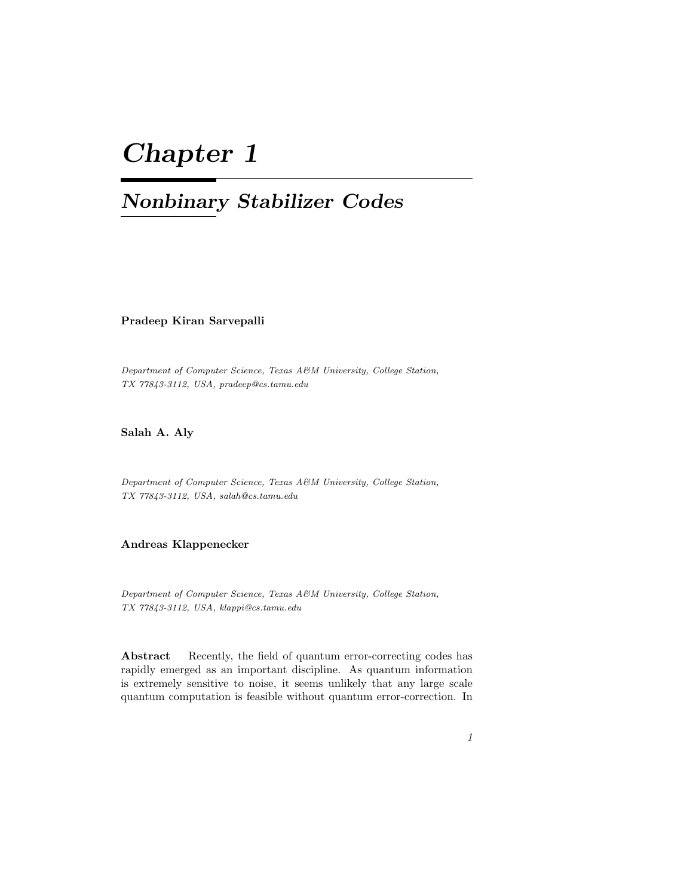# Chapter 1

## Nonbinary Stabilizer Codes

Pradeep Kiran Sarvepalli

Department of Computer Science, Texas A&M University, College Station, TX 77843-3112, USA, pradeep@cs.tamu.edu

Salah A. Aly

Department of Computer Science, Texas A&M University, College Station, TX 77843-3112, USA, salah@cs.tamu.edu

## Andreas Klappenecker

Department of Computer Science, Texas A&M University, College Station, TX 77843-3112, USA, klappi@cs.tamu.edu

Abstract Recently, the field of quantum error-correcting codes has rapidly emerged as an important discipline. As quantum information is extremely sensitive to noise, it seems unlikely that any large scale quantum computation is feasible without quantum error-correction. In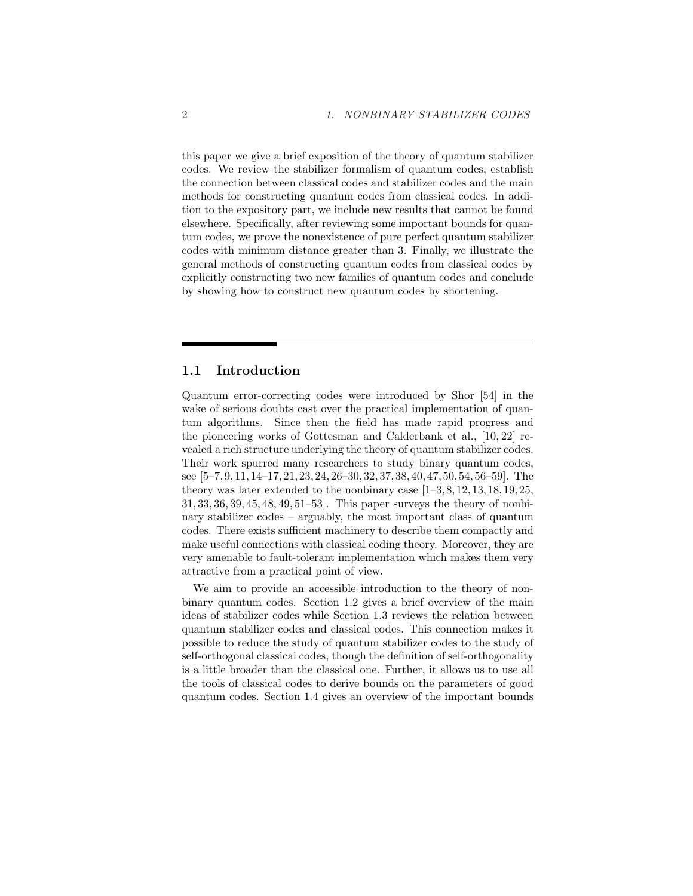this paper we give a brief exposition of the theory of quantum stabilizer codes. We review the stabilizer formalism of quantum codes, establish the connection between classical codes and stabilizer codes and the main methods for constructing quantum codes from classical codes. In addition to the expository part, we include new results that cannot be found elsewhere. Specifically, after reviewing some important bounds for quantum codes, we prove the nonexistence of pure perfect quantum stabilizer codes with minimum distance greater than 3. Finally, we illustrate the general methods of constructing quantum codes from classical codes by explicitly constructing two new families of quantum codes and conclude by showing how to construct new quantum codes by shortening.

## 1.1 Introduction

Quantum error-correcting codes were introduced by Shor [54] in the wake of serious doubts cast over the practical implementation of quantum algorithms. Since then the field has made rapid progress and the pioneering works of Gottesman and Calderbank et al., [10, 22] revealed a rich structure underlying the theory of quantum stabilizer codes. Their work spurred many researchers to study binary quantum codes, see [5–7, 9, 11, 14–17, 21, 23, 24, 26–30, 32, 37, 38, 40, 47, 50, 54, 56–59]. The theory was later extended to the nonbinary case  $[1-3, 8, 12, 13, 18, 19, 25,$ 31, 33, 36, 39, 45, 48, 49, 51–53]. This paper surveys the theory of nonbinary stabilizer codes – arguably, the most important class of quantum codes. There exists sufficient machinery to describe them compactly and make useful connections with classical coding theory. Moreover, they are very amenable to fault-tolerant implementation which makes them very attractive from a practical point of view.

We aim to provide an accessible introduction to the theory of nonbinary quantum codes. Section 1.2 gives a brief overview of the main ideas of stabilizer codes while Section 1.3 reviews the relation between quantum stabilizer codes and classical codes. This connection makes it possible to reduce the study of quantum stabilizer codes to the study of self-orthogonal classical codes, though the definition of self-orthogonality is a little broader than the classical one. Further, it allows us to use all the tools of classical codes to derive bounds on the parameters of good quantum codes. Section 1.4 gives an overview of the important bounds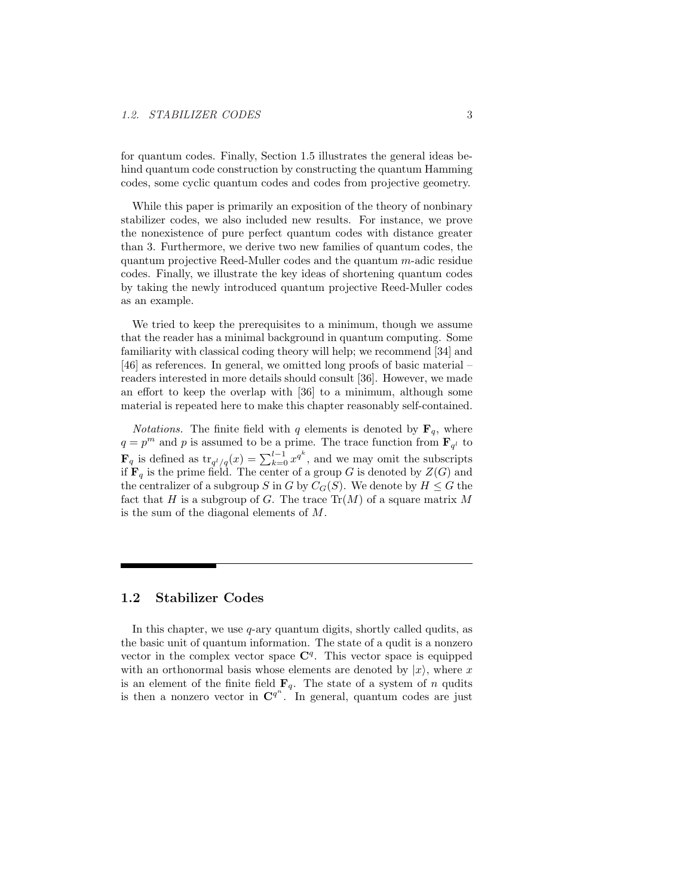for quantum codes. Finally, Section 1.5 illustrates the general ideas behind quantum code construction by constructing the quantum Hamming codes, some cyclic quantum codes and codes from projective geometry.

While this paper is primarily an exposition of the theory of nonbinary stabilizer codes, we also included new results. For instance, we prove the nonexistence of pure perfect quantum codes with distance greater than 3. Furthermore, we derive two new families of quantum codes, the quantum projective Reed-Muller codes and the quantum m-adic residue codes. Finally, we illustrate the key ideas of shortening quantum codes by taking the newly introduced quantum projective Reed-Muller codes as an example.

We tried to keep the prerequisites to a minimum, though we assume that the reader has a minimal background in quantum computing. Some familiarity with classical coding theory will help; we recommend [34] and [46] as references. In general, we omitted long proofs of basic material – readers interested in more details should consult [36]. However, we made an effort to keep the overlap with [36] to a minimum, although some material is repeated here to make this chapter reasonably self-contained.

*Notations*. The finite field with q elements is denoted by  $\mathbf{F}_q$ , where  $q = p^m$  and p is assumed to be a prime. The trace function from  $\mathbf{F}_{q^l}$  to  $\mathbf{F}_q$  is defined as  $\text{tr}_{q^l/q}(x) = \sum_{k=0}^{l-1} x^{q^k}$ , and we may omit the subscripts if  $\mathbf{F}_q$  is the prime field. The center of a group G is denoted by  $Z(G)$  and the centralizer of a subgroup S in G by  $C_G(S)$ . We denote by  $H \leq G$  the fact that H is a subgroup of G. The trace  $\text{Tr}(M)$  of a square matrix M is the sum of the diagonal elements of M.

## 1.2 Stabilizer Codes

In this chapter, we use  $q$ -ary quantum digits, shortly called qudits, as the basic unit of quantum information. The state of a qudit is a nonzero vector in the complex vector space  $\mathbb{C}^{q}$ . This vector space is equipped with an orthonormal basis whose elements are denoted by  $|x\rangle$ , where x is an element of the finite field  $\mathbf{F}_q$ . The state of a system of n qudits is then a nonzero vector in  $\mathbb{C}^{q^n}$ . In general, quantum codes are just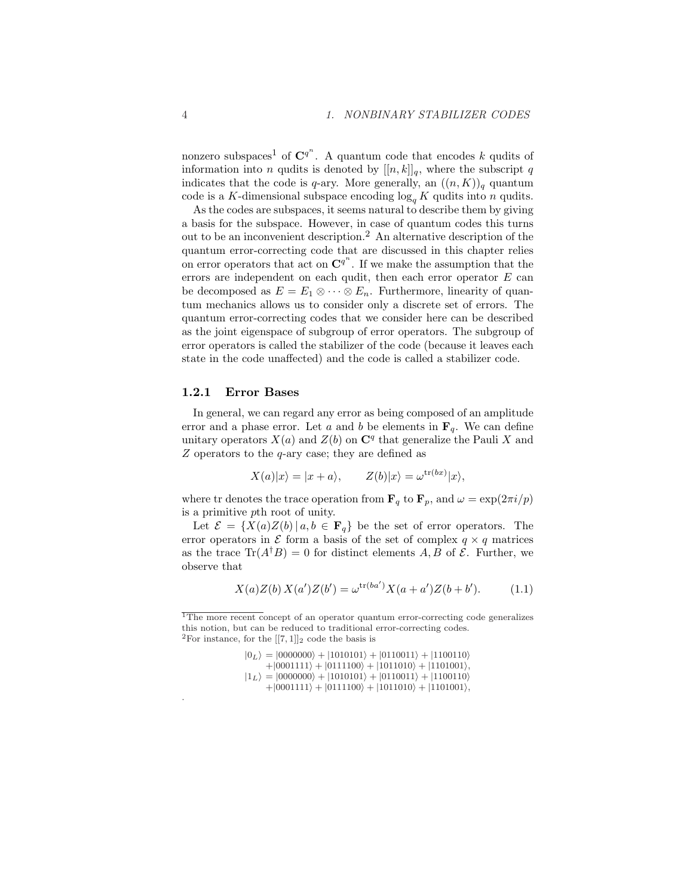nonzero subspaces<sup>1</sup> of  $\mathbb{C}^{q^n}$ . A quantum code that encodes k qudits of information into n qudits is denoted by  $[[n, k]]_q$ , where the subscript q indicates that the code is q-ary. More generally, an  $((n, K))_q$  quantum code is a K-dimensional subspace encoding  $\log_q K$  qudits into n qudits.

As the codes are subspaces, it seems natural to describe them by giving a basis for the subspace. However, in case of quantum codes this turns out to be an inconvenient description.<sup>2</sup> An alternative description of the quantum error-correcting code that are discussed in this chapter relies on error operators that act on  $\mathbb{C}^{q^n}$ . If we make the assumption that the errors are independent on each qudit, then each error operator  $E$  can be decomposed as  $E = E_1 \otimes \cdots \otimes E_n$ . Furthermore, linearity of quantum mechanics allows us to consider only a discrete set of errors. The quantum error-correcting codes that we consider here can be described as the joint eigenspace of subgroup of error operators. The subgroup of error operators is called the stabilizer of the code (because it leaves each state in the code unaffected) and the code is called a stabilizer code.

## 1.2.1 Error Bases

In general, we can regard any error as being composed of an amplitude error and a phase error. Let a and b be elements in  $\mathbf{F}_q$ . We can define unitary operators  $X(a)$  and  $Z(b)$  on  $\mathbb{C}^q$  that generalize the Pauli X and  $Z$  operators to the  $q$ -ary case; they are defined as

$$
X(a)|x\rangle = |x + a\rangle, \qquad Z(b)|x\rangle = \omega^{\text{tr}(bx)}|x\rangle,
$$

where tr denotes the trace operation from  $\mathbf{F}_q$  to  $\mathbf{F}_p$ , and  $\omega = \exp(2\pi i/p)$ is a primitive pth root of unity.

Let  $\mathcal{E} = \{X(a)Z(b) | a, b \in \mathbf{F}_q\}$  be the set of error operators. The error operators in  $\mathcal E$  form a basis of the set of complex  $q \times q$  matrices as the trace  $\text{Tr}(A^{\dagger}B) = 0$  for distinct elements A, B of  $\mathcal{E}$ . Further, we observe that

$$
X(a)Z(b) X(a')Z(b') = \omega^{\text{tr}(ba')} X(a+a')Z(b+b'). \tag{1.1}
$$

 $|0_L\rangle = |0000000\rangle + |1010101\rangle + |0110011\rangle + |1100110\rangle$  $+|0001111\rangle + |0111100\rangle + |1011010\rangle + |1101001\rangle,$  $|1_L\rangle = |0000000\rangle + |1010101\rangle + |0110011\rangle + |1100110\rangle$  $+|0001111\rangle + |0111100\rangle + |1011010\rangle + |1101001\rangle,$ 

.

<sup>&</sup>lt;sup>1</sup>The more recent concept of an operator quantum error-correcting code generalizes this notion, but can be reduced to traditional error-correcting codes. <sup>2</sup>For instance, for the  $[[7,1]]_2$  code the basis is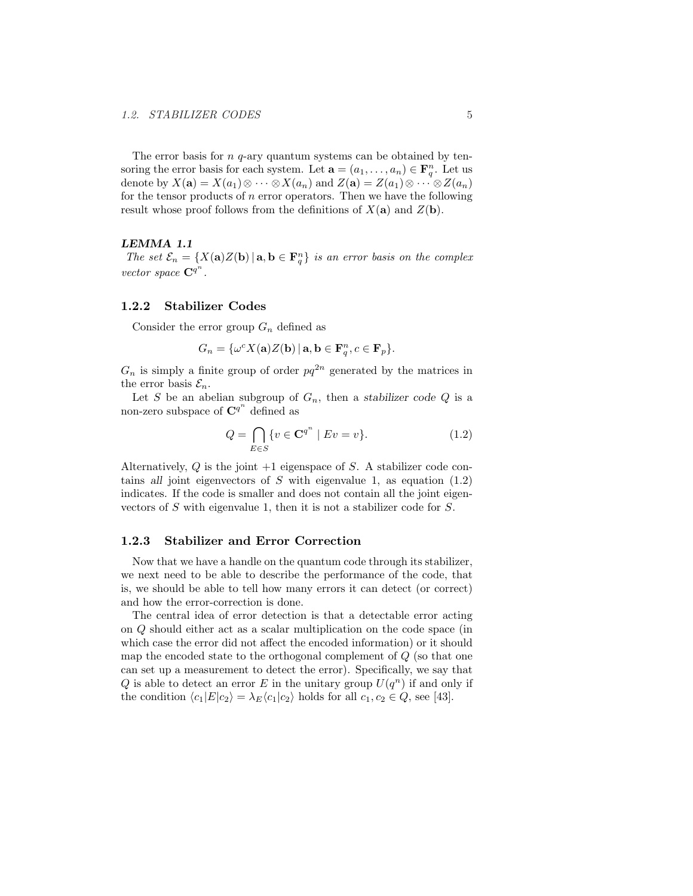The error basis for  $n \, q$ -ary quantum systems can be obtained by tensoring the error basis for each system. Let  $\mathbf{a} = (a_1, \dots, a_n) \in \mathbf{F}_q^n$ . Let us denote by  $X(\mathbf{a}) = X(a_1) \otimes \cdots \otimes X(a_n)$  and  $Z(\mathbf{a}) = Z(a_1) \otimes \cdots \otimes Z(a_n)$ for the tensor products of  $n$  error operators. Then we have the following result whose proof follows from the definitions of  $X(\mathbf{a})$  and  $Z(\mathbf{b})$ .

#### LEMMA 1.1

The set  $\mathcal{E}_n = \{X(\mathbf{a})Z(\mathbf{b}) | \mathbf{a}, \mathbf{b} \in \mathbf{F}_q^n\}$  is an error basis on the complex vector space  $\mathbf{C}^{q^n}$ .

## 1.2.2 Stabilizer Codes

Consider the error group  $G_n$  defined as

$$
G_n = \{ \omega^c X(\mathbf{a}) Z(\mathbf{b}) \, | \, \mathbf{a}, \mathbf{b} \in \mathbf{F}_q^n, c \in \mathbf{F}_p \}.
$$

 $G_n$  is simply a finite group of order  $pq^{2n}$  generated by the matrices in the error basis  $\mathcal{E}_n$ .

Let S be an abelian subgroup of  $G_n$ , then a stabilizer code Q is a non-zero subspace of  $\mathbf{C}^{q^n}$  defined as

$$
Q = \bigcap_{E \in S} \{ v \in \mathbf{C}^{q^n} \mid Ev = v \}. \tag{1.2}
$$

Alternatively,  $Q$  is the joint  $+1$  eigenspace of  $S$ . A stabilizer code contains all joint eigenvectors of S with eigenvalue 1, as equation  $(1.2)$ indicates. If the code is smaller and does not contain all the joint eigenvectors of S with eigenvalue 1, then it is not a stabilizer code for  $S$ .

## 1.2.3 Stabilizer and Error Correction

Now that we have a handle on the quantum code through its stabilizer, we next need to be able to describe the performance of the code, that is, we should be able to tell how many errors it can detect (or correct) and how the error-correction is done.

The central idea of error detection is that a detectable error acting on Q should either act as a scalar multiplication on the code space (in which case the error did not affect the encoded information) or it should map the encoded state to the orthogonal complement of  $Q$  (so that one can set up a measurement to detect the error). Specifically, we say that Q is able to detect an error E in the unitary group  $U(q^n)$  if and only if the condition  $\langle c_1|E|c_2\rangle = \lambda_E\langle c_1|c_2\rangle$  holds for all  $c_1, c_2 \in Q$ , see [43].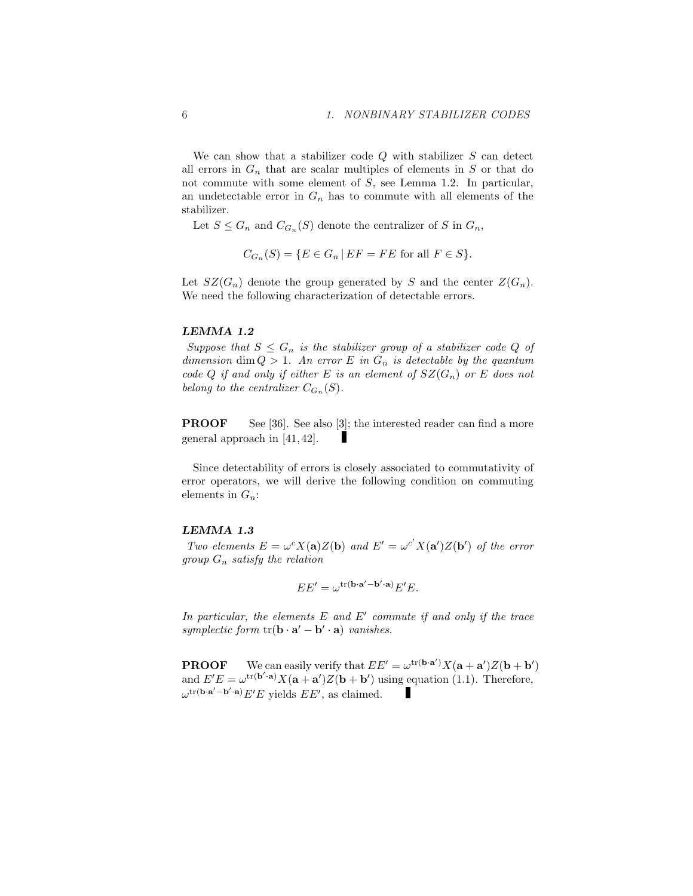We can show that a stabilizer code  $Q$  with stabilizer  $S$  can detect all errors in  $G_n$  that are scalar multiples of elements in S or that do not commute with some element of S, see Lemma 1.2. In particular, an undetectable error in  $G_n$  has to commute with all elements of the stabilizer.

Let  $S \leq G_n$  and  $C_{G_n}(S)$  denote the centralizer of S in  $G_n$ ,

$$
C_{G_n}(S) = \{ E \in G_n \mid EF = FE \text{ for all } F \in S \}.
$$

Let  $SZ(G_n)$  denote the group generated by S and the center  $Z(G_n)$ . We need the following characterization of detectable errors.

#### LEMMA 1.2

Suppose that  $S \leq G_n$  is the stabilizer group of a stabilizer code Q of dimension dim  $Q > 1$ . An error E in  $G_n$  is detectable by the quantum code Q if and only if either E is an element of  $SZ(G_n)$  or E does not belong to the centralizer  $C_{G_n}(S)$ .

**PROOF** See [36]. See also [3]; the interested reader can find a more general approach in [41, 42].

Since detectability of errors is closely associated to commutativity of error operators, we will derive the following condition on commuting elements in  $G_n$ :

#### LEMMA 1.3

Two elements  $E = \omega^c X(\mathbf{a})Z(\mathbf{b})$  and  $E' = \omega^{c'} X(\mathbf{a'})Z(\mathbf{b'})$  of the error group  $G_n$  satisfy the relation

$$
EE' = \omega^{\text{tr}(\mathbf{b}\cdot\mathbf{a}' - \mathbf{b}'\cdot\mathbf{a})}E'E.
$$

In particular, the elements  $E$  and  $E'$  commute if and only if the trace symplectic form  $tr(\mathbf{b} \cdot \mathbf{a}' - \mathbf{b}' \cdot \mathbf{a})$  vanishes.

**PROOF** We can easily verify that  $EE' = \omega^{\text{tr}(\mathbf{b} \cdot \mathbf{a}')} X(\mathbf{a} + \mathbf{a}') Z(\mathbf{b} + \mathbf{b}')$ and  $E'E = \omega^{\text{tr}(\mathbf{b}'\cdot\mathbf{a})} X(\mathbf{a} + \mathbf{a}')Z(\mathbf{b} + \mathbf{b}')$  using equation (1.1). Therefore,  $\omega^{\text{tr}(\mathbf{b}\cdot\mathbf{a}'-\mathbf{b}'\cdot\mathbf{a})}E'E$  yields  $EE'$ , as claimed.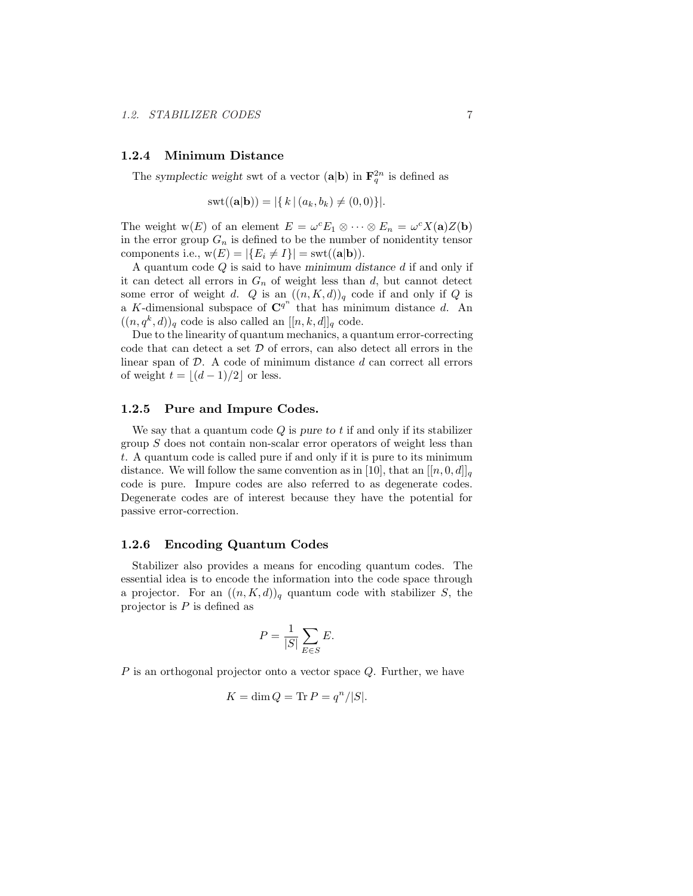## 1.2.4 Minimum Distance

The symplectic weight swt of a vector  $(\mathbf{a}|\mathbf{b})$  in  $\mathbf{F}_q^{2n}$  is defined as

$$
swt((a|b)) = |\{ k | (a_k, b_k) \neq (0, 0) \}|.
$$

The weight  $w(E)$  of an element  $E = \omega^c E_1 \otimes \cdots \otimes E_n = \omega^c X(\mathbf{a}) Z(\mathbf{b})$ in the error group  $G_n$  is defined to be the number of nonidentity tensor components i.e.,  $w(E) = |\{E_i \neq I\}| = \text{swt}((\mathbf{a}|\mathbf{b})).$ 

A quantum code  $Q$  is said to have minimum distance  $d$  if and only if it can detect all errors in  $G_n$  of weight less than d, but cannot detect some error of weight d. Q is an  $((n, K, d))_q$  code if and only if Q is a K-dimensional subspace of  $\mathbf{C}^{q^n}$  that has minimum distance d. An  $((n, q^k, d))_q$  code is also called an  $[[n, k, d]]_q$  code.

Due to the linearity of quantum mechanics, a quantum error-correcting code that can detect a set  $D$  of errors, can also detect all errors in the linear span of  $D$ . A code of minimum distance  $d$  can correct all errors of weight  $t = |(d - 1)/2|$  or less.

## 1.2.5 Pure and Impure Codes.

We say that a quantum code  $Q$  is pure to t if and only if its stabilizer group  $S$  does not contain non-scalar error operators of weight less than t. A quantum code is called pure if and only if it is pure to its minimum distance. We will follow the same convention as in [10], that an  $[[n, 0, d]]_q$ code is pure. Impure codes are also referred to as degenerate codes. Degenerate codes are of interest because they have the potential for passive error-correction.

#### 1.2.6 Encoding Quantum Codes

Stabilizer also provides a means for encoding quantum codes. The essential idea is to encode the information into the code space through a projector. For an  $((n, K, d))_q$  quantum code with stabilizer S, the projector is  $P$  is defined as

$$
P = \frac{1}{|S|} \sum_{E \in S} E.
$$

P is an orthogonal projector onto a vector space Q. Further, we have

$$
K = \dim Q = \text{Tr} P = q^n / |S|.
$$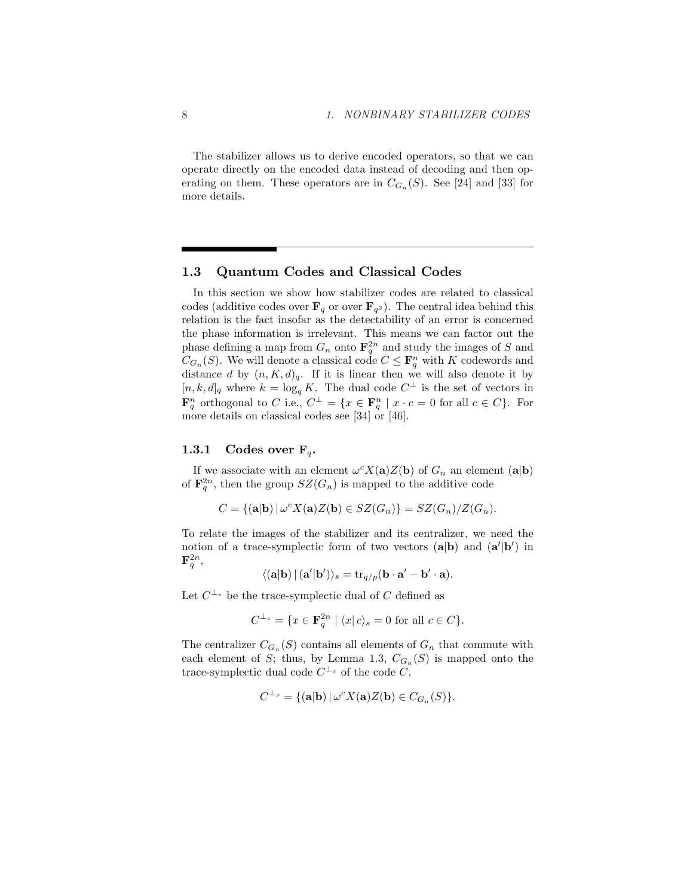The stabilizer allows us to derive encoded operators, so that we can operate directly on the encoded data instead of decoding and then operating on them. These operators are in  $C_{G_n}(S)$ . See [24] and [33] for more details.

## 1.3 Quantum Codes and Classical Codes

In this section we show how stabilizer codes are related to classical codes (additive codes over  $\mathbf{F}_q$  or over  $\mathbf{F}_{q^2}$ ). The central idea behind this relation is the fact insofar as the detectability of an error is concerned the phase information is irrelevant. This means we can factor out the phase defining a map from  $G_n$  onto  $\mathbf{F}_q^{2n}$  and study the images of S and  $C_{G_n}(S)$ . We will denote a classical code  $C \leq \mathbf{F}_q^n$  with K codewords and distance d by  $(n, K, d)_q$ . If it is linear then we will also denote it by  $[n, k, d]_q$  where  $k = \log_q K$ . The dual code  $C^{\perp}$  is the set of vectors in  $\mathbf{F}_q^n$  orthogonal to C i.e.,  $C^{\perp} = \{x \in \mathbf{F}_q^n \mid x \cdot c = 0 \text{ for all } c \in C\}$ . For more details on classical codes see [34] or [46].

## 1.3.1 Codes over  $F_q$ .

If we associate with an element  $\omega^c X(\mathbf{a}) Z(\mathbf{b})$  of  $G_n$  an element  $(\mathbf{a}|\mathbf{b})$ of  $\mathbf{F}_q^{2n}$ , then the group  $SZ(G_n)$  is mapped to the additive code

$$
C = \{(\mathbf{a}|\mathbf{b}) \mid \omega^c X(\mathbf{a}) Z(\mathbf{b}) \in SZ(G_n)\} = SZ(G_n)/Z(G_n).
$$

To relate the images of the stabilizer and its centralizer, we need the notion of a trace-symplectic form of two vectors  $(a|b)$  and  $(a'|b')$  in  $\mathbf{F}_{q}^{2n},$ 

$$
\langle (\mathbf{a}|\mathbf{b}) | (\mathbf{a}'|\mathbf{b}') \rangle_s = \text{tr}_{q/p}(\mathbf{b} \cdot \mathbf{a}' - \mathbf{b}' \cdot \mathbf{a}).
$$

Let  $C^{\perp_s}$  be the trace-symplectic dual of C defined as

$$
C^{\perp_s} = \{ x \in \mathbf{F}_q^{2n} \mid \langle x | c \rangle_s = 0 \text{ for all } c \in C \}.
$$

The centralizer  $C_{G_n}(S)$  contains all elements of  $G_n$  that commute with each element of S; thus, by Lemma 1.3,  $C_{G_n}(S)$  is mapped onto the trace-symplectic dual code  $C^{\perp_s}$  of the code C,

$$
C^{\perp_s} = \{(\mathbf{a}|\mathbf{b}) \,|\, \omega^c X(\mathbf{a}) Z(\mathbf{b}) \in C_{G_n}(S)\}.
$$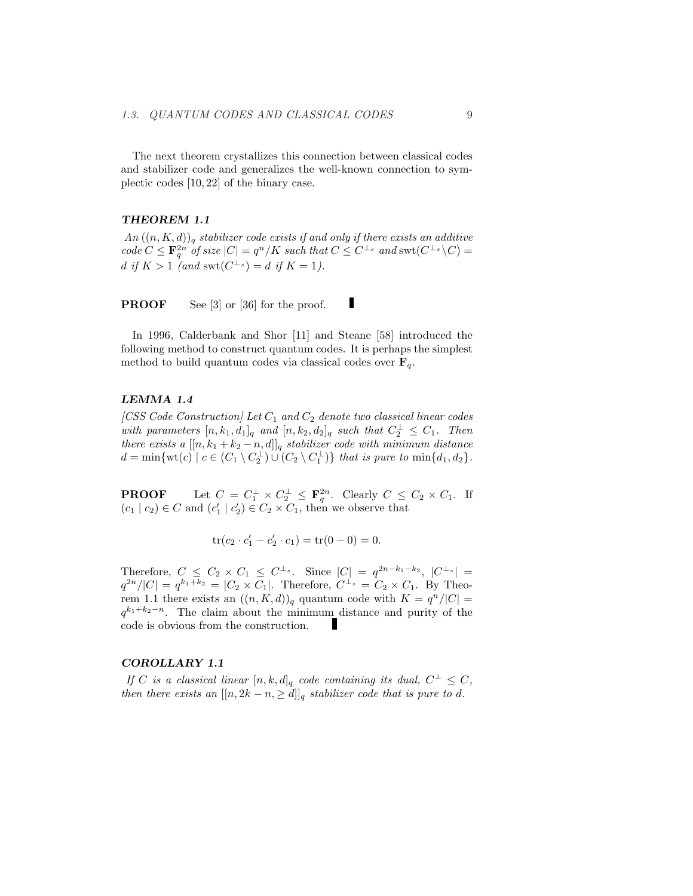The next theorem crystallizes this connection between classical codes and stabilizer code and generalizes the well-known connection to symplectic codes [10, 22] of the binary case.

#### THEOREM 1.1

 $An ((n, K, d))_q$  stabilizer code exists if and only if there exists an additive  $code C \leq \mathbf{F}_q^{2n}$  of size  $|C| = q^n/K$  such that  $C \leq C^{\perp_s}$  and  $\text{swt}(C^{\perp_s} \backslash C) =$ d if  $K > 1$  (and  $\mathrm{swt}(C^{\perp_s}) = d$  if  $K = 1$ ).

**PROOF** See [3] or [36] for the proof.

In 1996, Calderbank and Shor [11] and Steane [58] introduced the following method to construct quantum codes. It is perhaps the simplest method to build quantum codes via classical codes over  $\mathbf{F}_q$ .

I

#### LEMMA 1.4

[CSS Code Construction] Let  $C_1$  and  $C_2$  denote two classical linear codes with parameters  $[n, k_1, d_1]_q$  and  $[n, k_2, d_2]_q$  such that  $C_2^{\perp} \leq C_1$ . Then there exists a  $[[n, k_1 + k_2 - n, d]]_q$  stabilizer code with minimum distance  $d = \min \{ \text{wt}(c) \mid c \in (C_1 \setminus C_2^{\perp}) \cup (C_2 \setminus C_1^{\perp}) \}$  that is pure to  $\min \{d_1, d_2\}.$ 

**PROOF** Let  $C = C_1^{\perp} \times C_2^{\perp} \leq \mathbf{F}_q^{2n}$ . Clearly  $C \leq C_2 \times C_1$ . If  $(c_1 | c_2) \in C$  and  $(c'_1 | c'_2) \in C_2 \times C_1$ , then we observe that

$$
\operatorname{tr}(c_2 \cdot c_1' - c_2' \cdot c_1) = \operatorname{tr}(0 - 0) = 0.
$$

Therefore,  $C \leq C_2 \times C_1 \leq C^{\perp_s}$ . Since  $|C| = q^{2n-k_1-k_2}$ ,  $|C^{\perp_s}| =$  $q^{2n}/|C| = q^{k_1+k_2} = |C_2 \times C_1|$ . Therefore,  $C^{\perp_s} = C_2 \times C_1$ . By Theorem 1.1 there exists an  $((n, K, d))_q$  quantum code with  $K = q^n/|C|$  $q^{k_1+k_2-n}$ . The claim about the minimum distance and purity of the code is obvious from the construction.

#### COROLLARY 1.1

If C is a classical linear  $[n, k, d]_q$  code containing its dual,  $C^{\perp} \leq C$ , then there exists an  $[[n, 2k - n, \geq d]]_q$  stabilizer code that is pure to d.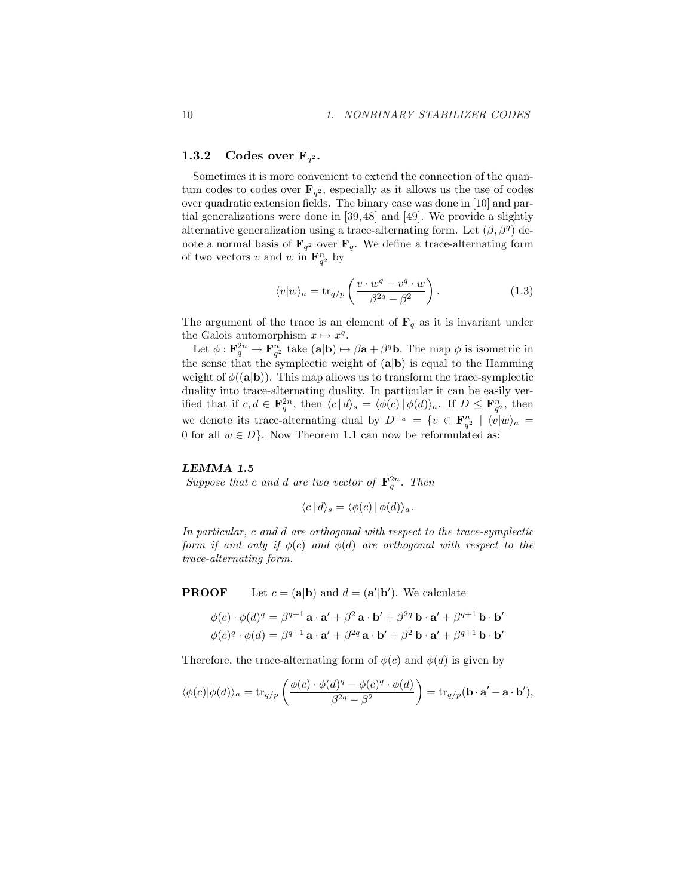## 1.3.2 Codes over  $\mathbf{F}_{q^2}$ .

Sometimes it is more convenient to extend the connection of the quantum codes to codes over  $\mathbf{F}_{q^2}$ , especially as it allows us the use of codes over quadratic extension fields. The binary case was done in [10] and partial generalizations were done in [39, 48] and [49]. We provide a slightly alternative generalization using a trace-alternating form. Let  $(\beta, \beta^q)$  denote a normal basis of  $\mathbf{F}_{q^2}$  over  $\mathbf{F}_{q}$ . We define a trace-alternating form of two vectors v and w in  $\mathbf{F}_{q^2}^n$  by

$$
\langle v|w\rangle_a = \text{tr}_{q/p}\left(\frac{v \cdot w^q - v^q \cdot w}{\beta^{2q} - \beta^2}\right). \tag{1.3}
$$

The argument of the trace is an element of  $\mathbf{F}_q$  as it is invariant under the Galois automorphism  $x \mapsto x^q$ .

Let  $\phi: \mathbf{F}_q^{2n} \to \mathbf{F}_{q^2}^n$  take  $(\mathbf{a}|\mathbf{b}) \mapsto \beta \mathbf{a} + \beta^q \mathbf{b}$ . The map  $\phi$  is isometric in the sense that the symplectic weight of  $(a|b)$  is equal to the Hamming weight of  $\phi((a|b))$ . This map allows us to transform the trace-symplectic duality into trace-alternating duality. In particular it can be easily verified that if  $c, d \in \mathbf{F}_q^{2n}$ , then  $\langle c | d \rangle_s = \langle \phi(c) | \phi(d) \rangle_a$ . If  $D \leq \mathbf{F}_{q^2}^n$ , then we denote its trace-alternating dual by  $D^{\perp_a} = \{v \in \mathbf{F}_{q^2}^n \mid \langle v | w \rangle_a =$ 0 for all  $w \in D$ . Now Theorem 1.1 can now be reformulated as:

#### LEMMA 1.5

Suppose that c and d are two vector of  $\mathbf{F}_q^{2n}$ . Then

$$
\langle c | d \rangle_s = \langle \phi(c) | \phi(d) \rangle_a.
$$

In particular, c and d are orthogonal with respect to the trace-symplectic form if and only if  $\phi(c)$  and  $\phi(d)$  are orthogonal with respect to the trace-alternating form.

**PROOF** Let  $c = (a|b)$  and  $d = (a'|b')$ . We calculate

$$
\phi(c) \cdot \phi(d)^q = \beta^{q+1} \mathbf{a} \cdot \mathbf{a}' + \beta^2 \mathbf{a} \cdot \mathbf{b}' + \beta^{2q} \mathbf{b} \cdot \mathbf{a}' + \beta^{q+1} \mathbf{b} \cdot \mathbf{b}'
$$
  

$$
\phi(c)^q \cdot \phi(d) = \beta^{q+1} \mathbf{a} \cdot \mathbf{a}' + \beta^{2q} \mathbf{a} \cdot \mathbf{b}' + \beta^2 \mathbf{b} \cdot \mathbf{a}' + \beta^{q+1} \mathbf{b} \cdot \mathbf{b}'
$$

Therefore, the trace-alternating form of  $\phi(c)$  and  $\phi(d)$  is given by

$$
\langle \phi(c)|\phi(d)\rangle_a = \text{tr}_{q/p}\left(\frac{\phi(c)\cdot \phi(d)^q - \phi(c)^q \cdot \phi(d)}{\beta^{2q}-\beta^2}\right) = \text{tr}_{q/p}(\mathbf{b}\cdot \mathbf{a}'-\mathbf{a}\cdot \mathbf{b}'),
$$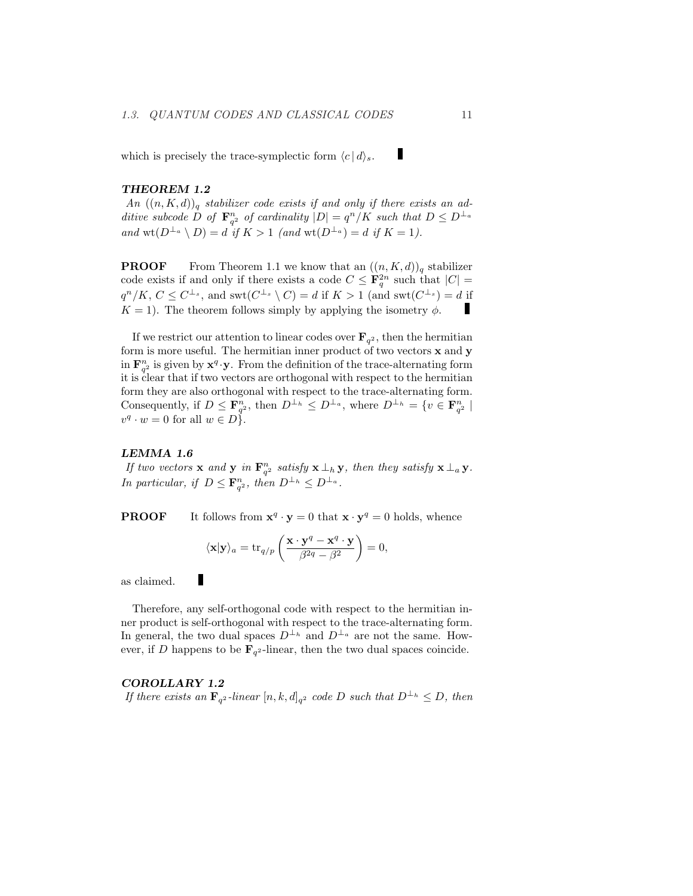which is precisely the trace-symplectic form  $\langle c | d \rangle_s$ .

#### THEOREM 1.2

An  $((n, K, d))_q$  stabilizer code exists if and only if there exists an additive subcode D of  $\mathbf{F}_{q^2}^n$  of cardinality  $|D| = q^n/K$  such that  $D \leq D^{\perp_a}$ and  $\text{wt}(D^{\perp_a} \setminus D) = d$  if  $K > 1$  (and  $\text{wt}(D^{\perp_a}) = d$  if  $K = 1$ ).

**PROOF** From Theorem 1.1 we know that an  $((n, K, d))_q$  stabilizer code exists if and only if there exists a code  $C \leq \mathbf{F}_q^{2n}$  such that  $|C| =$  $q^n/K, C \leq C^{\perp_s}$ , and swt $(C^{\perp_s} \setminus C) = d$  if  $K > 1$  (and swt $(C^{\perp_s}) = d$  if п  $K = 1$ ). The theorem follows simply by applying the isometry  $\phi$ .

If we restrict our attention to linear codes over  $\mathbf{F}_{q^2}$ , then the hermitian form is more useful. The hermitian inner product of two vectors  $x$  and  $y$ in  $\mathbf{F}_{q^2}^n$  is given by  $\mathbf{x}^q \cdot \mathbf{y}$ . From the definition of the trace-alternating form it is clear that if two vectors are orthogonal with respect to the hermitian form they are also orthogonal with respect to the trace-alternating form. Consequently, if  $D \leq \mathbf{F}_{q^2}^n$ , then  $D^{\perp_h} \leq D^{\perp_a}$ , where  $D^{\perp_h} = \{v \in \mathbf{F}_{q^2}^n \mid$  $v^q \cdot w = 0$  for all  $w \in D$ .

#### LEMMA 1.6

If two vectors **x** and **y** in  $\mathbf{F}_{q^2}^n$  satisfy **x**  $\perp$ <sub>h</sub> **y**, then they satisfy **x**  $\perp$ <sub>a</sub> **y**. In particular, if  $D \leq \mathbf{F}_{q^2}^n$ , then  $D^{\perp_h} \leq D^{\perp_a}$ .

**PROOF** It follows from  $\mathbf{x}^q \cdot \mathbf{y} = 0$  that  $\mathbf{x} \cdot \mathbf{y}^q = 0$  holds, whence

$$
\langle \mathbf{x} | \mathbf{y} \rangle_a = \text{tr}_{q/p} \left( \frac{\mathbf{x} \cdot \mathbf{y}^q - \mathbf{x}^q \cdot \mathbf{y}}{\beta^{2q} - \beta^2} \right) = 0,
$$

as claimed.

L

Therefore, any self-orthogonal code with respect to the hermitian inner product is self-orthogonal with respect to the trace-alternating form. In general, the two dual spaces  $D^{\perp_h}$  and  $D^{\perp_a}$  are not the same. However, if D happens to be  $\mathbf{F}_{q^2}$ -linear, then the two dual spaces coincide.

#### COROLLARY 1.2

If there exists an  $\mathbf{F}_{q^2}$ -linear  $[n, k, d]_{q^2}$  code D such that  $D^{\perp_h} \leq D$ , then

ı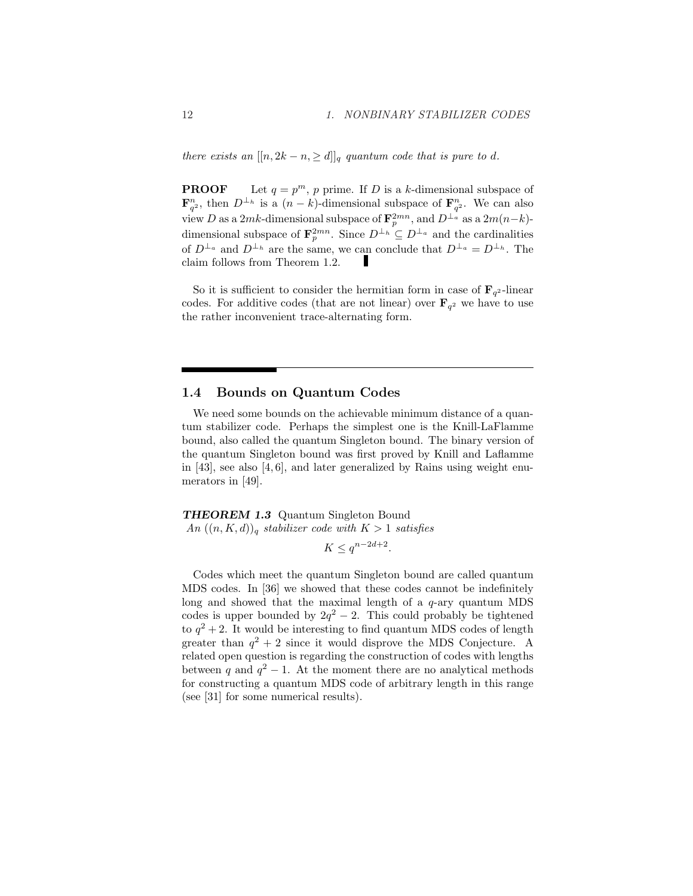there exists an  $[[n, 2k - n, \geq d]]_q$  quantum code that is pure to d.

**PROOF** Let  $q = p^m$ , p prime. If D is a k-dimensional subspace of  $\mathbf{F}_{q^2}^n$ , then  $D^{\perp_h}$  is a  $(n-k)$ -dimensional subspace of  $\mathbf{F}_{q^2}^n$ . We can also view D as a 2mk-dimensional subspace of  $\mathbf{F}_p^{2mn}$ , and  $D^{\perp_a}$  as a  $2m(n-k)$ dimensional subspace of  $\mathbf{F}_p^{2mn}$ . Since  $D^{\perp_h} \subseteq D^{\perp_a}$  and the cardinalities of  $D^{\perp_a}$  and  $D^{\perp_h}$  are the same, we can conclude that  $D^{\perp_a} = D^{\perp_h}$ . The г claim follows from Theorem 1.2.

So it is sufficient to consider the hermitian form in case of  $\mathbf{F}_{q^2}$ -linear codes. For additive codes (that are not linear) over  $\mathbf{F}_{q^2}$  we have to use the rather inconvenient trace-alternating form.

## 1.4 Bounds on Quantum Codes

We need some bounds on the achievable minimum distance of a quantum stabilizer code. Perhaps the simplest one is the Knill-LaFlamme bound, also called the quantum Singleton bound. The binary version of the quantum Singleton bound was first proved by Knill and Laflamme in  $[43]$ , see also  $[4, 6]$ , and later generalized by Rains using weight enumerators in [49].

THEOREM 1.3 Quantum Singleton Bound An  $((n, K, d))_q$  stabilizer code with  $K > 1$  satisfies

 $K \leq q^{n-2d+2}$ .

Codes which meet the quantum Singleton bound are called quantum MDS codes. In [36] we showed that these codes cannot be indefinitely long and showed that the maximal length of a  $q$ -ary quantum MDS codes is upper bounded by  $2q^2 - 2$ . This could probably be tightened to  $q^2 + 2$ . It would be interesting to find quantum MDS codes of length greater than  $q^2 + 2$  since it would disprove the MDS Conjecture. A related open question is regarding the construction of codes with lengths between q and  $q^2 - 1$ . At the moment there are no analytical methods for constructing a quantum MDS code of arbitrary length in this range (see [31] for some numerical results).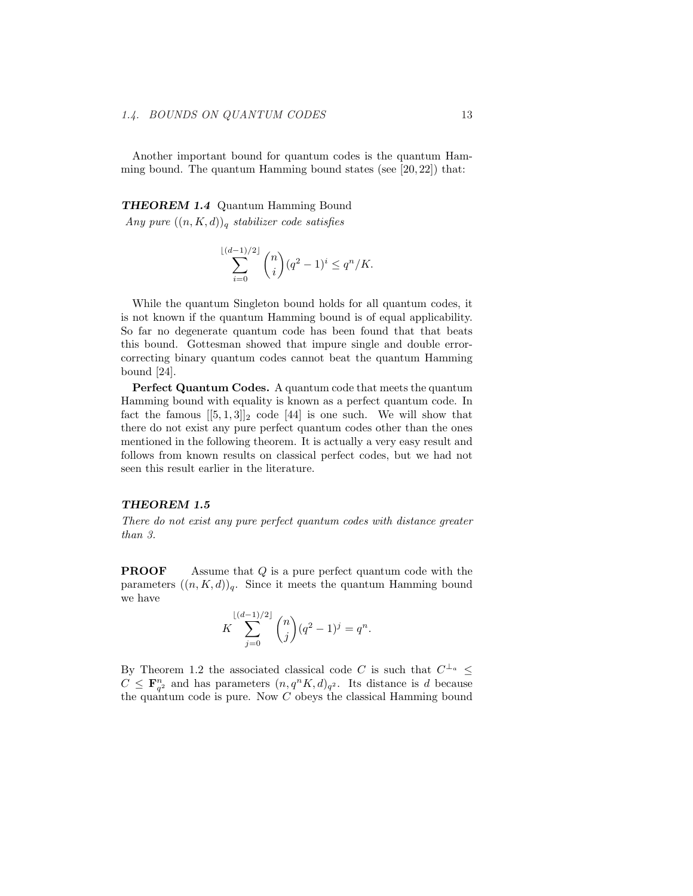Another important bound for quantum codes is the quantum Hamming bound. The quantum Hamming bound states (see  $[20, 22]$ ) that:

## THEOREM 1.4 Quantum Hamming Bound

Any pure  $((n, K, d))_q$  stabilizer code satisfies

$$
\sum_{i=0}^{\lfloor (d-1)/2 \rfloor} \binom{n}{i} (q^2 - 1)^i \le q^n / K.
$$

While the quantum Singleton bound holds for all quantum codes, it is not known if the quantum Hamming bound is of equal applicability. So far no degenerate quantum code has been found that that beats this bound. Gottesman showed that impure single and double errorcorrecting binary quantum codes cannot beat the quantum Hamming bound [24].

Perfect Quantum Codes. A quantum code that meets the quantum Hamming bound with equality is known as a perfect quantum code. In fact the famous  $[[5,1,3]]_2$  code [44] is one such. We will show that there do not exist any pure perfect quantum codes other than the ones mentioned in the following theorem. It is actually a very easy result and follows from known results on classical perfect codes, but we had not seen this result earlier in the literature.

#### THEOREM 1.5

There do not exist any pure perfect quantum codes with distance greater than 3.

**PROOF** Assume that Q is a pure perfect quantum code with the parameters  $((n, K, d))_q$ . Since it meets the quantum Hamming bound we have

$$
K\sum_{j=0}^{\lfloor (d-1)/2 \rfloor} \binom{n}{j} (q^2-1)^j = q^n.
$$

By Theorem 1.2 the associated classical code C is such that  $C^{\perp_a} \leq$  $C \n\t\leq \mathbf{F}_{q^2}^n$  and has parameters  $(n, q^n K, d)_{q^2}$ . Its distance is d because the quantum code is pure. Now  $C$  obeys the classical Hamming bound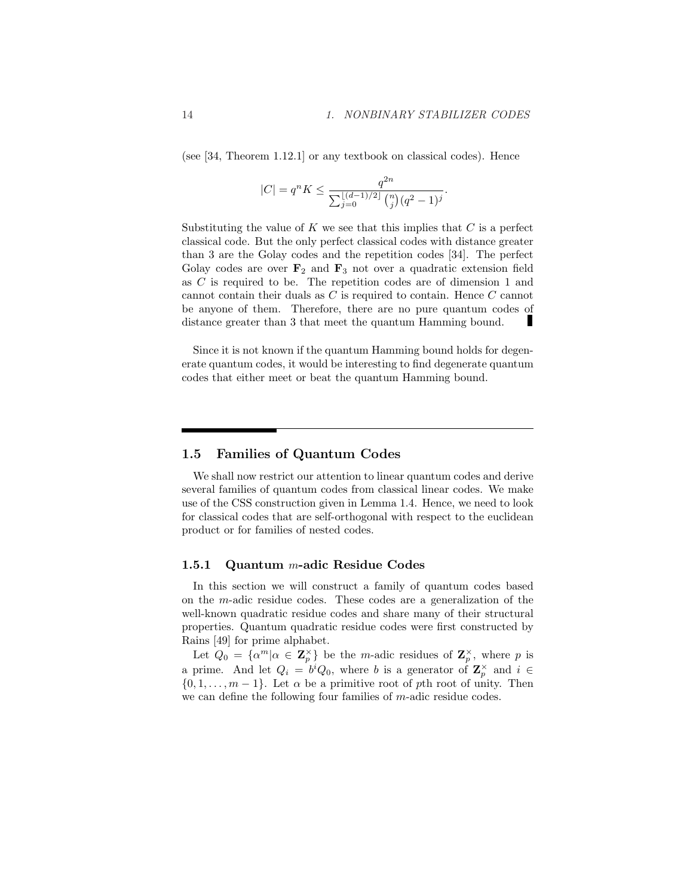(see [34, Theorem 1.12.1] or any textbook on classical codes). Hence

$$
|C| = q^{n} K \le \frac{q^{2n}}{\sum_{j=0}^{\lfloor (d-1)/2 \rfloor} \binom{n}{j} (q^2 - 1)^j}.
$$

Substituting the value of  $K$  we see that this implies that  $C$  is a perfect classical code. But the only perfect classical codes with distance greater than 3 are the Golay codes and the repetition codes [34]. The perfect Golay codes are over  $\mathbf{F}_2$  and  $\mathbf{F}_3$  not over a quadratic extension field as C is required to be. The repetition codes are of dimension 1 and cannot contain their duals as C is required to contain. Hence C cannot be anyone of them. Therefore, there are no pure quantum codes of distance greater than 3 that meet the quantum Hamming bound.

Since it is not known if the quantum Hamming bound holds for degenerate quantum codes, it would be interesting to find degenerate quantum codes that either meet or beat the quantum Hamming bound.

## 1.5 Families of Quantum Codes

We shall now restrict our attention to linear quantum codes and derive several families of quantum codes from classical linear codes. We make use of the CSS construction given in Lemma 1.4. Hence, we need to look for classical codes that are self-orthogonal with respect to the euclidean product or for families of nested codes.

#### 1.5.1 Quantum m-adic Residue Codes

In this section we will construct a family of quantum codes based on the m-adic residue codes. These codes are a generalization of the well-known quadratic residue codes and share many of their structural properties. Quantum quadratic residue codes were first constructed by Rains [49] for prime alphabet.

Let  $Q_0 = {\alpha^m | \alpha \in \mathbb{Z}_p^{\times}}$  be the *m*-adic residues of  $\mathbb{Z}_p^{\times}$ , where *p* is a prime. And let  $Q_i = b^i Q_0$ , where b is a generator of  $\mathbb{Z}_p^{\times}$  and  $i \in$  $\{0, 1, \ldots, m-1\}$ . Let  $\alpha$  be a primitive root of pth root of unity. Then we can define the following four families of m-adic residue codes.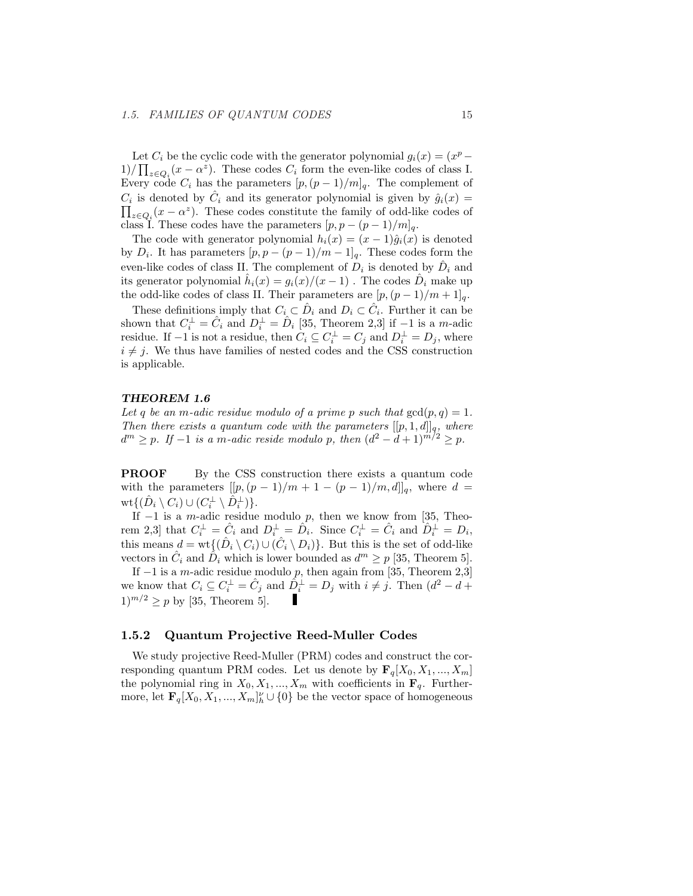Let  $C_i$  be the cyclic code with the generator polynomial  $g_i(x) = (x^p 1)/\prod_{z\in Q_i}(x-\alpha^z)$ . These codes  $C_i$  form the even-like codes of class I. Every code  $C_i$  has the parameters  $[p,(p-1)/m]_q$ . The complement of  $C_i$  is denoted by  $\hat{C}_i$  and its generator polynomial is given by  $\hat{g}_i(x) =$  $_{z \in Q_i}(x - \alpha^z)$ . These codes constitute the family of odd-like codes of class I. These codes have the parameters  $[p, p - (p - 1)/m]_q$ .

The code with generator polynomial  $h_i(x) = (x-1)\hat{g}_i(x)$  is denoted by  $D_i$ . It has parameters  $[p, p - (p-1)/m-1]_q$ . These codes form the even-like codes of class II. The complement of  $D_i$  is denoted by  $\hat{D}_i$  and its generator polynomial  $\hat{h}_i(x) = g_i(x)/(x-1)$ . The codes  $\hat{D}_i$  make up the odd-like codes of class II. Their parameters are  $[p,(p-1)/m+1]_q$ .

These definitions imply that  $C_i \subset \hat{D}_i$  and  $D_i \subset \hat{C}_i$ . Further it can be shown that  $C_i^{\perp} = \hat{C}_i$  and  $D_i^{\perp} = \hat{D}_i$  [35, Theorem 2,3] if -1 is a m-adic residue. If  $-1$  is not a residue, then  $C_i \subseteq C_i^{\perp} = C_j$  and  $D_i^{\perp} = D_j$ , where  $i \neq j$ . We thus have families of nested codes and the CSS construction is applicable.

#### THEOREM 1.6

Let q be an m-adic residue modulo of a prime p such that  $gcd(p, q) = 1$ . Then there exists a quantum code with the parameters  $[[p, 1, d]]_q$ , where  $d^m \geq p$ . If -1 is a m-adic reside modulo p, then  $(d^2 - d + 1)^{m/2} \geq p$ .

**PROOF** By the CSS construction there exists a quantum code with the parameters  $[[p,(p-1)/m+1-(p-1)/m,d]]_q$ , where  $d =$  $\operatorname{wt}\{(\hat D_i\setminus C_i)\cup (C_i^{\perp}\setminus \hat D_i^{\perp})\}.$ 

If  $-1$  is a *m*-adic residue modulo p, then we know from [35, Theorem 2,3] that  $C_i^{\perp} = \hat{C}_i$  and  $D_i^{\perp} = \hat{D}_i$ . Since  $C_i^{\perp} = \hat{C}_i$  and  $\hat{D}_i^{\perp} = D_i$ , this means  $d = \text{wt}\{(\hat{D}_i \setminus C_i) \cup (\hat{C}_i \setminus D_i)\}\.$  But this is the set of odd-like vectors in  $\hat{C}_i$  and  $\hat{D}_i$  which is lower bounded as  $d^m \geq p$  [35, Theorem 5].

If  $-1$  is a m-adic residue modulo p, then again from [35, Theorem 2,3] we know that  $C_i \subseteq C_i^{\perp} = \hat{C}_j$  and  $\hat{D}_i^{\perp} = D_j$  with  $i \neq j$ . Then  $(d^2 - d +$  $1)^{m/2}$  > p by [35, Theorem 5]. ı

#### 1.5.2 Quantum Projective Reed-Muller Codes

We study projective Reed-Muller (PRM) codes and construct the corresponding quantum PRM codes. Let us denote by  $\mathbf{F}_q[X_0, X_1, ..., X_m]$ the polynomial ring in  $X_0, X_1, ..., X_m$  with coefficients in  $\mathbf{F}_q$ . Furthermore, let  $\mathbf{F}_q[X_0, X_1, ..., X_m]_h^{\nu} \cup \{0\}$  be the vector space of homogeneous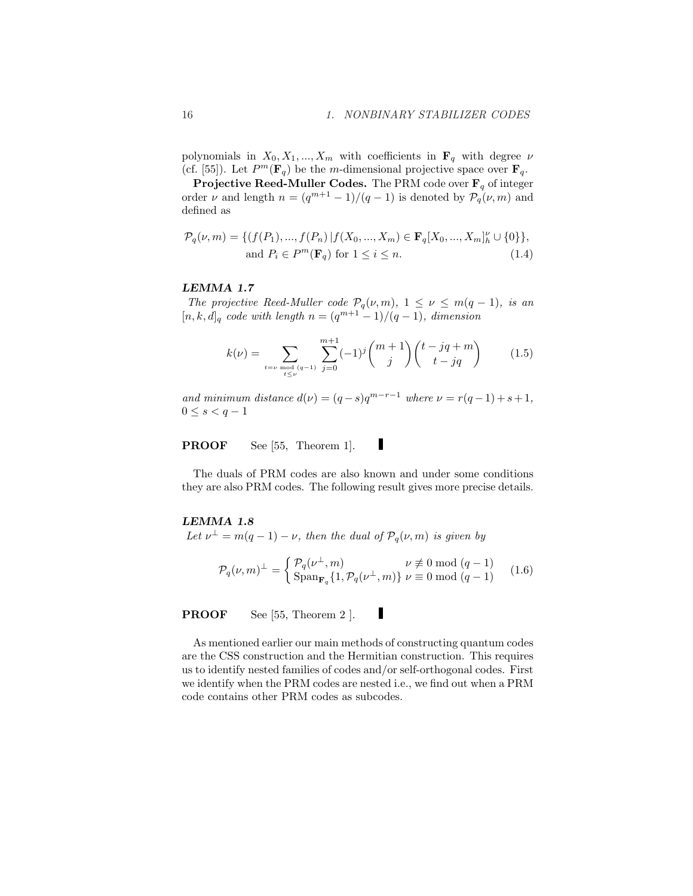polynomials in  $X_0, X_1, ..., X_m$  with coefficients in  $\mathbf{F}_q$  with degree  $\nu$ (cf. [55]). Let  $P^m(\mathbf{F}_q)$  be the m-dimensional projective space over  $\mathbf{F}_q$ .

**Projective Reed-Muller Codes.** The PRM code over  $\mathbf{F}_q$  of integer order  $\nu$  and length  $n = (q^{m+1} - 1)/(q - 1)$  is denoted by  $\mathcal{P}_q(\nu, m)$  and defined as

$$
\mathcal{P}_q(\nu, m) = \{ (f(P_1), ..., f(P_n) | f(X_0, ..., X_m) \in \mathbf{F}_q[X_0, ..., X_m]_h^{\nu} \cup \{0\} \},\
$$
  
and  $P_i \in P^m(\mathbf{F}_q)$  for  $1 \le i \le n$ . (1.4)

## LEMMA 1.7

The projective Reed-Muller code  $\mathcal{P}_q(\nu,m)$ ,  $1 \leq \nu \leq m(q-1)$ , is an  $[n, k, d]_q$  code with length  $n = (q^{m+1} - 1)/(q - 1)$ , dimension

$$
k(\nu) = \sum_{\substack{t=\nu \bmod{(q-1)}}} \sum_{j=0}^{m+1} (-1)^j \binom{m+1}{j} \binom{t-jq+m}{t-jq} \tag{1.5}
$$

and minimum distance  $d(\nu) = (q - s)q^{m-r-1}$  where  $\nu = r(q-1) + s + 1$ ,  $0 \leq s < q - 1$ 

Ш PROOF See [55, Theorem 1].

The duals of PRM codes are also known and under some conditions they are also PRM codes. The following result gives more precise details.

## LEMMA 1.8

Let  $\nu^{\perp} = m(q-1) - \nu$ , then the dual of  $\mathcal{P}_q(\nu, m)$  is given by

$$
\mathcal{P}_q(\nu,m)^\perp = \begin{cases} \mathcal{P}_q(\nu^\perp,m) & \nu \not\equiv 0 \bmod (q-1) \\ \text{Span}_{\mathbf{F}_q} \{1, \mathcal{P}_q(\nu^\perp,m)\} & \nu \equiv 0 \bmod (q-1) \end{cases} \tag{1.6}
$$

ı

PROOF See [55, Theorem 2 ].

As mentioned earlier our main methods of constructing quantum codes are the CSS construction and the Hermitian construction. This requires us to identify nested families of codes and/or self-orthogonal codes. First we identify when the PRM codes are nested i.e., we find out when a PRM code contains other PRM codes as subcodes.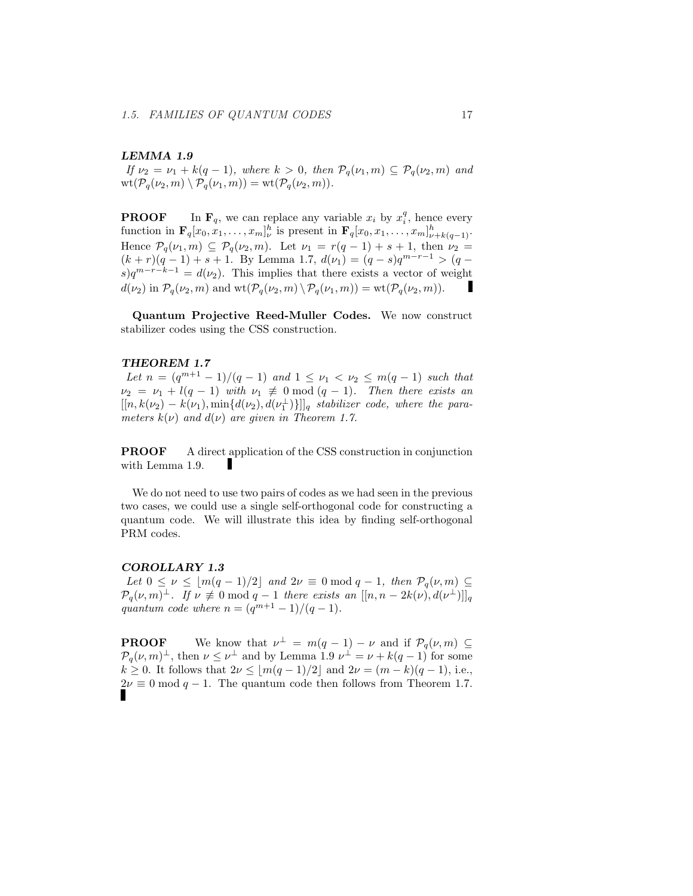## LEMMA 1.9

If  $\nu_2 = \nu_1 + k(q-1)$ , where  $k > 0$ , then  $\mathcal{P}_q(\nu_1, m) \subseteq \mathcal{P}_q(\nu_2, m)$  and  $\text{wt}(\mathcal{P}_q(\nu_2,m) \setminus \mathcal{P}_q(\nu_1,m)) = \text{wt}(\mathcal{P}_q(\nu_2,m)).$ 

**PROOF** In  $\mathbf{F}_q$ , we can replace any variable  $x_i$  by  $x_i^q$ , hence every function in  $\mathbf{F}_q[x_0, x_1, \ldots, x_m]_{\nu}^h$  is present in  $\mathbf{F}_q[x_0, x_1, \ldots, x_m]_{\nu+k(q-1)}^h$ . Hence  $\mathcal{P}_q(\nu_1,m) \subseteq \mathcal{P}_q(\nu_2,m)$ . Let  $\nu_1 = r(q-1) + s + 1$ , then  $\nu_2 =$  $(k + r)(q - 1) + s + 1$ . By Lemma 1.7,  $d(\nu_1) = (q - s)q^{m-r-1} > (q$  $s)q^{m-r-k-1} = d(\nu_2)$ . This implies that there exists a vector of weight  $d(\nu_2)$  in  $\mathcal{P}_q(\nu_2, m)$  and  $\text{wt}(\mathcal{P}_q(\nu_2, m) \setminus \mathcal{P}_q(\nu_1, m)) = \text{wt}(\mathcal{P}_q(\nu_2, m)).$ 

Quantum Projective Reed-Muller Codes. We now construct stabilizer codes using the CSS construction.

#### THEOREM 1.7

Let  $n = (q^{m+1} - 1)/(q - 1)$  and  $1 \leq \nu_1 < \nu_2 \leq m(q - 1)$  such that  $\nu_2 = \nu_1 + l(q-1)$  with  $\nu_1 \not\equiv 0 \mod (q-1)$ . Then there exists an  $[[n, k(\nu_2) - k(\nu_1), \min\{d(\nu_2), d(\nu_1^{\perp})\}]]_q$  stabilizer code, where the parameters  $k(\nu)$  and  $d(\nu)$  are given in Theorem 1.7.

PROOF A direct application of the CSS construction in conjunction with Lemma 1.9.

We do not need to use two pairs of codes as we had seen in the previous two cases, we could use a single self-orthogonal code for constructing a quantum code. We will illustrate this idea by finding self-orthogonal PRM codes.

#### COROLLARY 1.3

Let  $0 \leq \nu \leq \lfloor m(q-1)/2 \rfloor$  and  $2\nu \equiv 0 \mod q - 1$ , then  $\mathcal{P}_q(\nu, m) \subseteq$  $\mathcal{P}_q(\nu,m)^\perp$ . If  $\nu \not\equiv 0 \mod q-1$  there exists an  $[[n,n-2k(\nu),d(\nu^{\perp})]]_q$ quantum code where  $n = (q^{m+1} - 1)/(q - 1)$ .

**PROOF** We know that  $\nu^{\perp} = m(q-1) - \nu$  and if  $\mathcal{P}_q(\nu, m) \subseteq$  $\mathcal{P}_q(\nu,m)^\perp$ , then  $\nu \leq \nu^\perp$  and by Lemma 1.9  $\nu^\perp = \nu + k(q-1)$  for some  $k \geq 0$ . It follows that  $2\nu \leq \lfloor m(q-1)/2 \rfloor$  and  $2\nu = (m-k)(q-1)$ , i.e.,  $2\nu \equiv 0 \mod q - 1$ . The quantum code then follows from Theorem 1.7.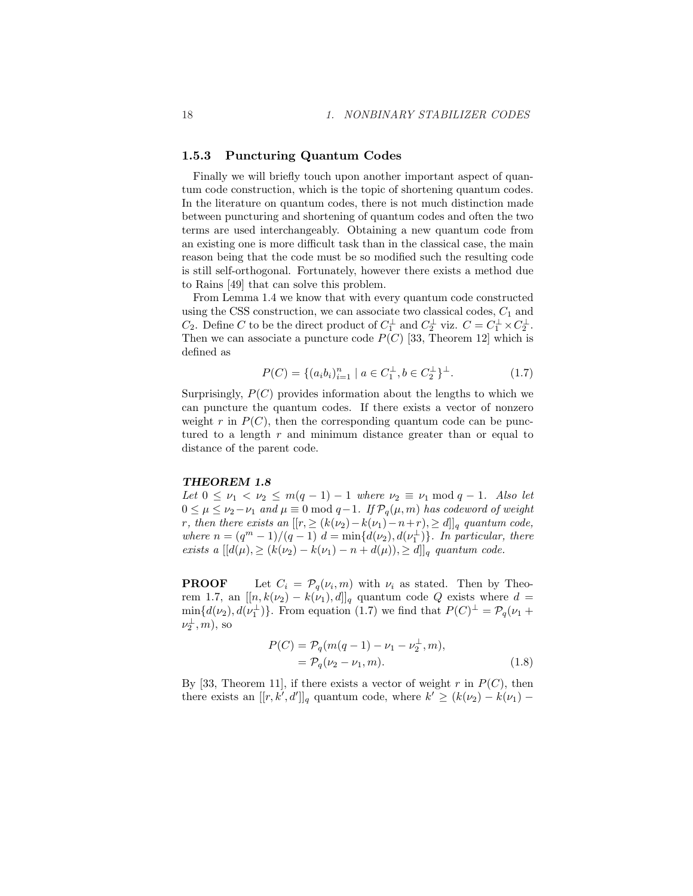## 1.5.3 Puncturing Quantum Codes

Finally we will briefly touch upon another important aspect of quantum code construction, which is the topic of shortening quantum codes. In the literature on quantum codes, there is not much distinction made between puncturing and shortening of quantum codes and often the two terms are used interchangeably. Obtaining a new quantum code from an existing one is more difficult task than in the classical case, the main reason being that the code must be so modified such the resulting code is still self-orthogonal. Fortunately, however there exists a method due to Rains [49] that can solve this problem.

From Lemma 1.4 we know that with every quantum code constructed using the CSS construction, we can associate two classical codes,  $C_1$  and  $C_2$ . Define C to be the direct product of  $C_1^{\perp}$  and  $C_2^{\perp}$  viz.  $C = C_1^{\perp} \times C_2^{\perp}$ . Then we can associate a puncture code  $P(C)$  [33, Theorem 12] which is defined as

$$
P(C) = \{(a_i b_i)_{i=1}^n \mid a \in C_1^{\perp}, b \in C_2^{\perp}\}^{\perp}.
$$
 (1.7)

Surprisingly,  $P(C)$  provides information about the lengths to which we can puncture the quantum codes. If there exists a vector of nonzero weight r in  $P(C)$ , then the corresponding quantum code can be punctured to a length  $r$  and minimum distance greater than or equal to distance of the parent code.

#### THEOREM 1.8

Let  $0 \leq \nu_1 < \nu_2 \leq m(q-1) - 1$  where  $\nu_2 \equiv \nu_1 \mod q - 1$ . Also let  $0 \leq \mu \leq \nu_2 - \nu_1$  and  $\mu \equiv 0 \mod q-1$ . If  $\mathcal{P}_q(\mu, m)$  has codeword of weight r, then there exists an  $[[r, \geq (k(\nu_2)-k(\nu_1)-n+r), \geq d]]_q$  quantum code, where  $n = (q^m - 1)/(q - 1) d = \min\{d(\nu_2), d(\nu_1^{\perp})\}$ . In particular, there exists a  $[[d(\mu), \geq (k(\nu_2) - k(\nu_1) - n + d(\mu)), \geq d]]_q$  quantum code.

**PROOF** Let  $C_i = \mathcal{P}_q(\nu_i, m)$  with  $\nu_i$  as stated. Then by Theorem 1.7, an  $[[n, k(\nu_2) - k(\nu_1), d]]_q$  quantum code Q exists where  $d =$  $\min\{d(\nu_2), d(\nu_1^{\perp})\}.$  From equation (1.7) we find that  $P(C)^{\perp} = \mathcal{P}_q(\nu_1 + \nu_2)$  $\nu_2^{\perp}, m$ ), so

$$
P(C) = P_q(m(q-1) - \nu_1 - \nu_2^{\perp}, m),
$$
  
=  $P_q(\nu_2 - \nu_1, m).$  (1.8)

By [33, Theorem 11], if there exists a vector of weight r in  $P(C)$ , then there exists an  $[[r, k', d']]_q$  quantum code, where  $k' \geq (k(\nu_2) - k(\nu_1) -$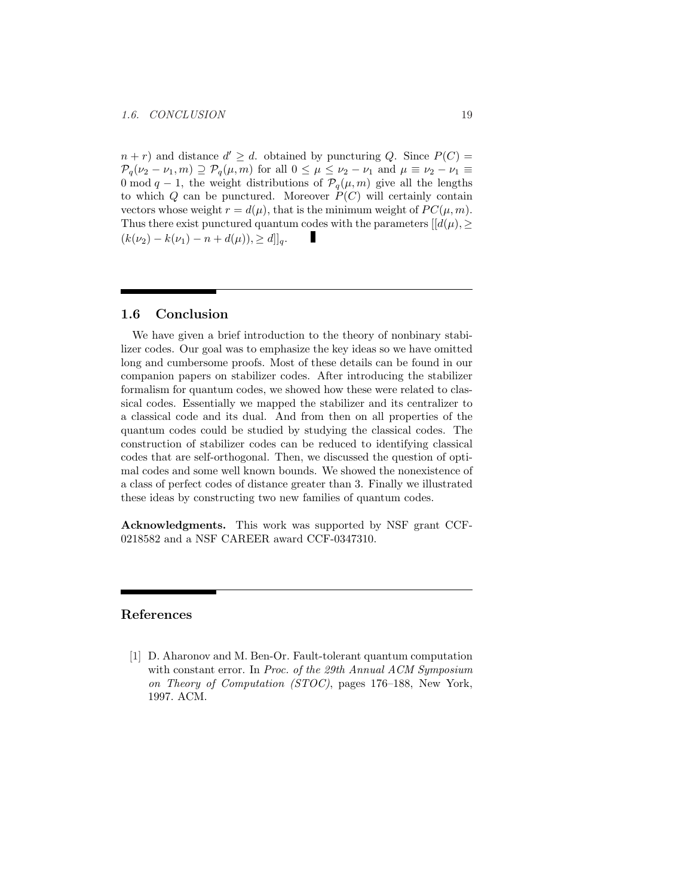$n + r$ ) and distance  $d' \geq d$ . obtained by puncturing Q. Since  $P(C)$  =  $\mathcal{P}_q(\nu_2 - \nu_1, m) \supseteq \mathcal{P}_q(\mu, m)$  for all  $0 \leq \mu \leq \nu_2 - \nu_1$  and  $\mu \equiv \nu_2 - \nu_1 \equiv$ 0 mod  $q-1$ , the weight distributions of  $\mathcal{P}_q(\mu, m)$  give all the lengths to which  $Q$  can be punctured. Moreover  $P(C)$  will certainly contain vectors whose weight  $r = d(\mu)$ , that is the minimum weight of  $PC(\mu, m)$ . Thus there exist punctured quantum codes with the parameters  $[[d(\mu), \geq$  $(k(\nu_2) - k(\nu_1) - n + d(\mu)), \geq d]_q.$ 

## 1.6 Conclusion

We have given a brief introduction to the theory of nonbinary stabilizer codes. Our goal was to emphasize the key ideas so we have omitted long and cumbersome proofs. Most of these details can be found in our companion papers on stabilizer codes. After introducing the stabilizer formalism for quantum codes, we showed how these were related to classical codes. Essentially we mapped the stabilizer and its centralizer to a classical code and its dual. And from then on all properties of the quantum codes could be studied by studying the classical codes. The construction of stabilizer codes can be reduced to identifying classical codes that are self-orthogonal. Then, we discussed the question of optimal codes and some well known bounds. We showed the nonexistence of a class of perfect codes of distance greater than 3. Finally we illustrated these ideas by constructing two new families of quantum codes.

Acknowledgments. This work was supported by NSF grant CCF-0218582 and a NSF CAREER award CCF-0347310.

## References

[1] D. Aharonov and M. Ben-Or. Fault-tolerant quantum computation with constant error. In Proc. of the 29th Annual ACM Symposium on Theory of Computation (STOC), pages 176–188, New York, 1997. ACM.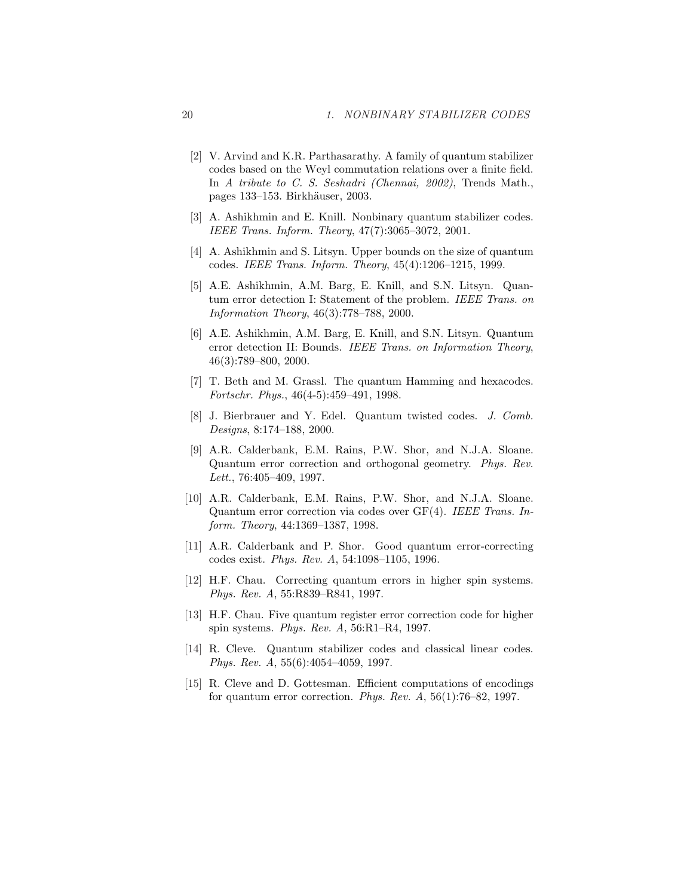- [2] V. Arvind and K.R. Parthasarathy. A family of quantum stabilizer codes based on the Weyl commutation relations over a finite field. In A tribute to C. S. Seshadri (Chennai, 2002), Trends Math., pages 133–153. Birkh¨auser, 2003.
- [3] A. Ashikhmin and E. Knill. Nonbinary quantum stabilizer codes. IEEE Trans. Inform. Theory, 47(7):3065–3072, 2001.
- [4] A. Ashikhmin and S. Litsyn. Upper bounds on the size of quantum codes. IEEE Trans. Inform. Theory, 45(4):1206–1215, 1999.
- [5] A.E. Ashikhmin, A.M. Barg, E. Knill, and S.N. Litsyn. Quantum error detection I: Statement of the problem. IEEE Trans. on Information Theory, 46(3):778–788, 2000.
- [6] A.E. Ashikhmin, A.M. Barg, E. Knill, and S.N. Litsyn. Quantum error detection II: Bounds. IEEE Trans. on Information Theory, 46(3):789–800, 2000.
- [7] T. Beth and M. Grassl. The quantum Hamming and hexacodes. Fortschr. Phys., 46(4-5):459–491, 1998.
- [8] J. Bierbrauer and Y. Edel. Quantum twisted codes. J. Comb. Designs, 8:174–188, 2000.
- [9] A.R. Calderbank, E.M. Rains, P.W. Shor, and N.J.A. Sloane. Quantum error correction and orthogonal geometry. Phys. Rev. Lett., 76:405–409, 1997.
- [10] A.R. Calderbank, E.M. Rains, P.W. Shor, and N.J.A. Sloane. Quantum error correction via codes over GF(4). IEEE Trans. Inform. Theory, 44:1369–1387, 1998.
- [11] A.R. Calderbank and P. Shor. Good quantum error-correcting codes exist. Phys. Rev. A, 54:1098–1105, 1996.
- [12] H.F. Chau. Correcting quantum errors in higher spin systems. Phys. Rev. A, 55:R839–R841, 1997.
- [13] H.F. Chau. Five quantum register error correction code for higher spin systems. Phys. Rev. A, 56:R1–R4, 1997.
- [14] R. Cleve. Quantum stabilizer codes and classical linear codes. Phys. Rev. A, 55(6):4054–4059, 1997.
- [15] R. Cleve and D. Gottesman. Efficient computations of encodings for quantum error correction. Phys. Rev.  $A$ , 56(1):76–82, 1997.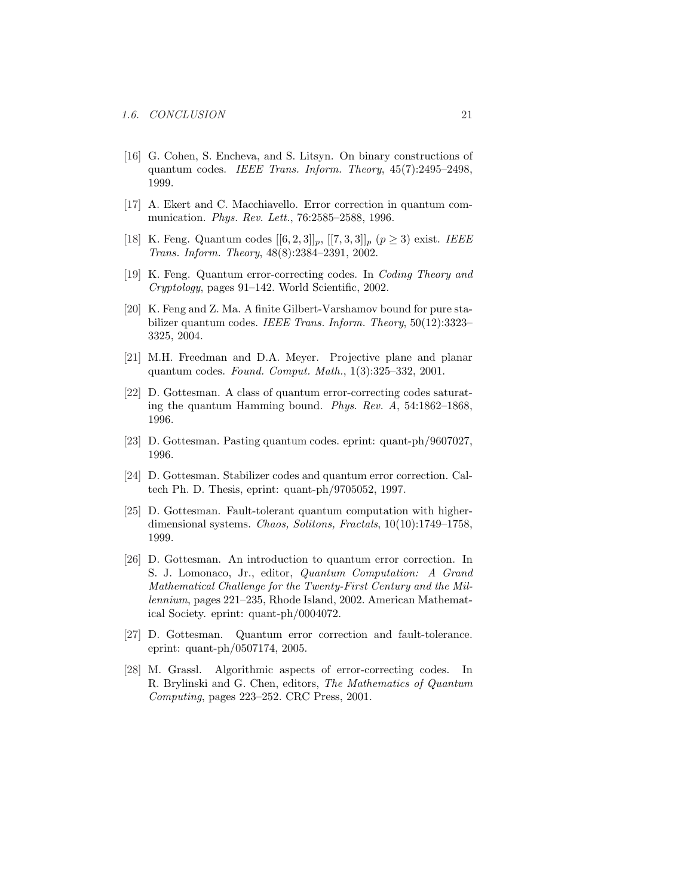- [16] G. Cohen, S. Encheva, and S. Litsyn. On binary constructions of quantum codes. IEEE Trans. Inform. Theory, 45(7):2495–2498, 1999.
- [17] A. Ekert and C. Macchiavello. Error correction in quantum communication. Phys. Rev. Lett., 76:2585–2588, 1996.
- [18] K. Feng. Quantum codes  $[[6, 2, 3]]_p$ ,  $[[7, 3, 3]]_p$   $(p \ge 3)$  exist. *IEEE* Trans. Inform. Theory, 48(8):2384–2391, 2002.
- [19] K. Feng. Quantum error-correcting codes. In Coding Theory and Cryptology, pages 91–142. World Scientific, 2002.
- [20] K. Feng and Z. Ma. A finite Gilbert-Varshamov bound for pure stabilizer quantum codes. IEEE Trans. Inform. Theory, 50(12):3323-3325, 2004.
- [21] M.H. Freedman and D.A. Meyer. Projective plane and planar quantum codes. Found. Comput. Math., 1(3):325–332, 2001.
- [22] D. Gottesman. A class of quantum error-correcting codes saturating the quantum Hamming bound. Phys. Rev. A, 54:1862–1868, 1996.
- [23] D. Gottesman. Pasting quantum codes. eprint: quant-ph/9607027, 1996.
- [24] D. Gottesman. Stabilizer codes and quantum error correction. Caltech Ph. D. Thesis, eprint: quant-ph/9705052, 1997.
- [25] D. Gottesman. Fault-tolerant quantum computation with higherdimensional systems. Chaos, Solitons, Fractals, 10(10):1749–1758, 1999.
- [26] D. Gottesman. An introduction to quantum error correction. In S. J. Lomonaco, Jr., editor, Quantum Computation: A Grand Mathematical Challenge for the Twenty-First Century and the Millennium, pages 221–235, Rhode Island, 2002. American Mathematical Society. eprint: quant-ph/0004072.
- [27] D. Gottesman. Quantum error correction and fault-tolerance. eprint: quant-ph/0507174, 2005.
- [28] M. Grassl. Algorithmic aspects of error-correcting codes. In R. Brylinski and G. Chen, editors, The Mathematics of Quantum Computing, pages 223–252. CRC Press, 2001.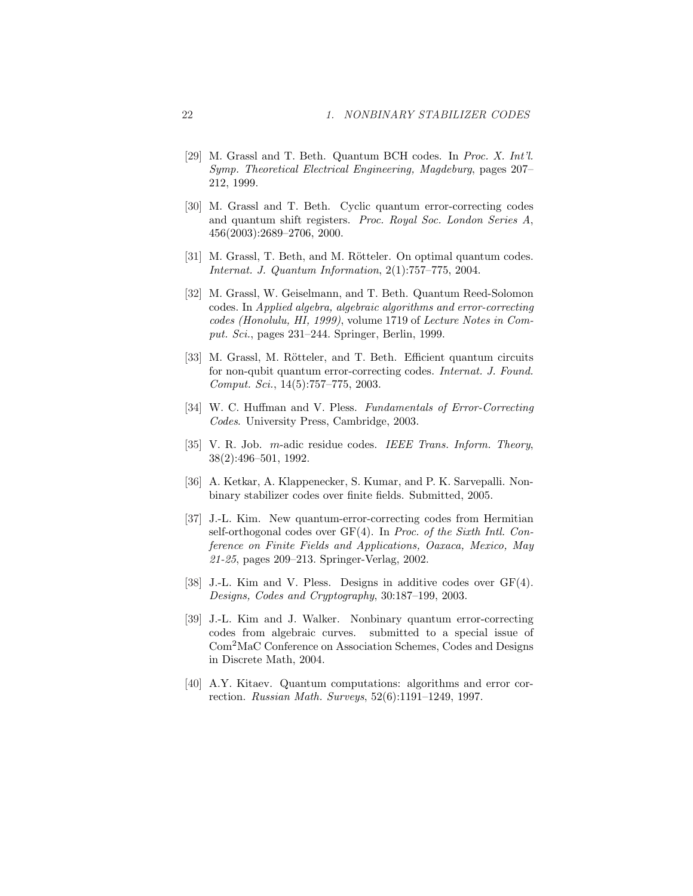- [29] M. Grassl and T. Beth. Quantum BCH codes. In Proc. X. Int'l. Symp. Theoretical Electrical Engineering, Magdeburg, pages 207– 212, 1999.
- [30] M. Grassl and T. Beth. Cyclic quantum error-correcting codes and quantum shift registers. Proc. Royal Soc. London Series A, 456(2003):2689–2706, 2000.
- [31] M. Grassl, T. Beth, and M. Rötteler. On optimal quantum codes. Internat. J. Quantum Information, 2(1):757–775, 2004.
- [32] M. Grassl, W. Geiselmann, and T. Beth. Quantum Reed-Solomon codes. In Applied algebra, algebraic algorithms and error-correcting codes (Honolulu, HI, 1999), volume 1719 of Lecture Notes in Comput. Sci., pages 231–244. Springer, Berlin, 1999.
- [33] M. Grassl, M. Rötteler, and T. Beth. Efficient quantum circuits for non-qubit quantum error-correcting codes. Internat. J. Found. Comput. Sci., 14(5):757–775, 2003.
- [34] W. C. Huffman and V. Pless. Fundamentals of Error-Correcting Codes. University Press, Cambridge, 2003.
- [35] V. R. Job. m-adic residue codes. IEEE Trans. Inform. Theory, 38(2):496–501, 1992.
- [36] A. Ketkar, A. Klappenecker, S. Kumar, and P. K. Sarvepalli. Nonbinary stabilizer codes over finite fields. Submitted, 2005.
- [37] J.-L. Kim. New quantum-error-correcting codes from Hermitian self-orthogonal codes over GF(4). In Proc. of the Sixth Intl. Conference on Finite Fields and Applications, Oaxaca, Mexico, May 21-25, pages 209–213. Springer-Verlag, 2002.
- [38] J.-L. Kim and V. Pless. Designs in additive codes over GF(4). Designs, Codes and Cryptography, 30:187–199, 2003.
- [39] J.-L. Kim and J. Walker. Nonbinary quantum error-correcting codes from algebraic curves. submitted to a special issue of Com<sup>2</sup>MaC Conference on Association Schemes, Codes and Designs in Discrete Math, 2004.
- [40] A.Y. Kitaev. Quantum computations: algorithms and error correction. Russian Math. Surveys, 52(6):1191–1249, 1997.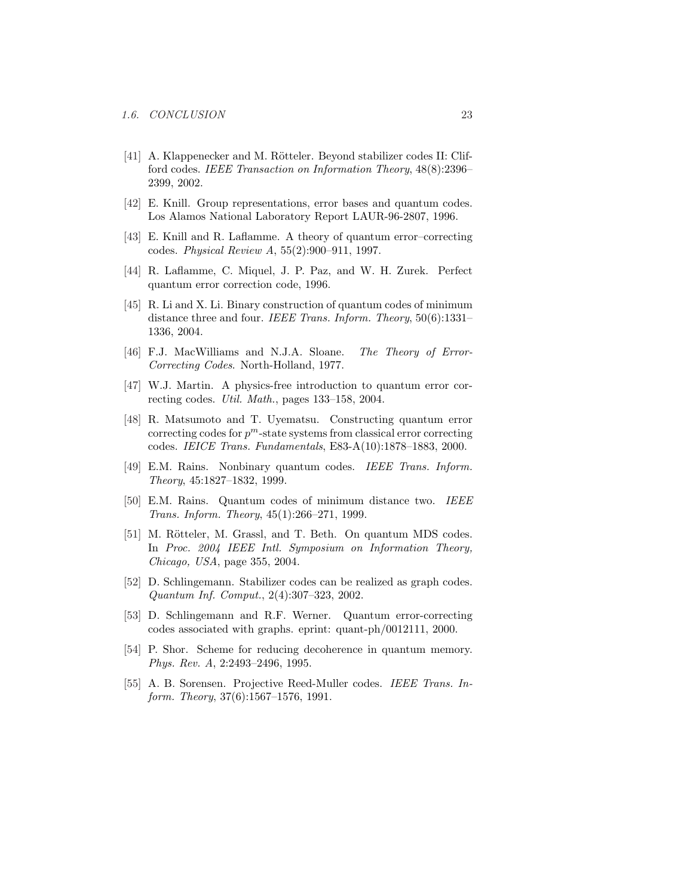- [41] A. Klappenecker and M. Rötteler. Beyond stabilizer codes II: Clifford codes. IEEE Transaction on Information Theory, 48(8):2396– 2399, 2002.
- [42] E. Knill. Group representations, error bases and quantum codes. Los Alamos National Laboratory Report LAUR-96-2807, 1996.
- [43] E. Knill and R. Laflamme. A theory of quantum error–correcting codes. Physical Review A, 55(2):900–911, 1997.
- [44] R. Laflamme, C. Miquel, J. P. Paz, and W. H. Zurek. Perfect quantum error correction code, 1996.
- [45] R. Li and X. Li. Binary construction of quantum codes of minimum distance three and four. IEEE Trans. Inform. Theory, 50(6):1331-1336, 2004.
- [46] F.J. MacWilliams and N.J.A. Sloane. The Theory of Error-Correcting Codes. North-Holland, 1977.
- [47] W.J. Martin. A physics-free introduction to quantum error correcting codes. Util. Math., pages 133–158, 2004.
- [48] R. Matsumoto and T. Uyematsu. Constructing quantum error correcting codes for  $p^m$ -state systems from classical error correcting codes. IEICE Trans. Fundamentals, E83-A(10):1878–1883, 2000.
- [49] E.M. Rains. Nonbinary quantum codes. IEEE Trans. Inform. Theory, 45:1827–1832, 1999.
- [50] E.M. Rains. Quantum codes of minimum distance two. IEEE Trans. Inform. Theory, 45(1):266–271, 1999.
- [51] M. Rötteler, M. Grassl, and T. Beth. On quantum MDS codes. In Proc. 2004 IEEE Intl. Symposium on Information Theory, Chicago, USA, page 355, 2004.
- [52] D. Schlingemann. Stabilizer codes can be realized as graph codes. Quantum Inf. Comput., 2(4):307–323, 2002.
- [53] D. Schlingemann and R.F. Werner. Quantum error-correcting codes associated with graphs. eprint: quant-ph/0012111, 2000.
- [54] P. Shor. Scheme for reducing decoherence in quantum memory. Phys. Rev. A, 2:2493–2496, 1995.
- [55] A. B. Sorensen. Projective Reed-Muller codes. IEEE Trans. Inform. Theory, 37(6):1567–1576, 1991.